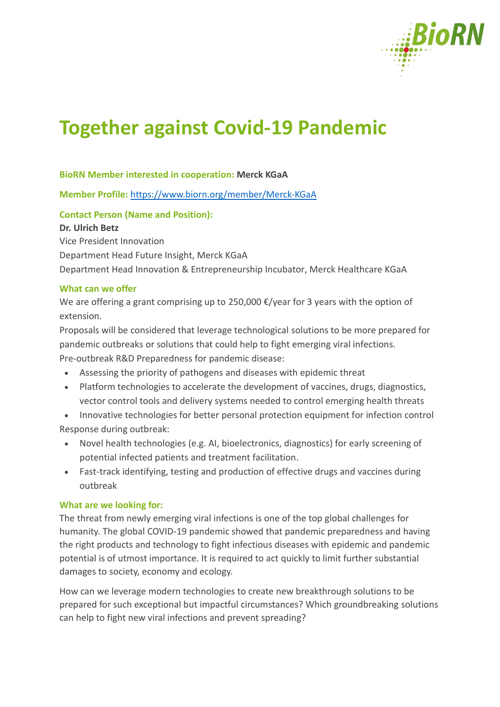

# **Together against Covid-19 Pandemic**

## **BioRN Member interested in cooperation: Merck KGaA**

**Member Profile:** <https://www.biorn.org/member/Merck-KGaA>

## **Contact Person (Name and Position):**

#### **Dr. Ulrich Betz**

Vice President Innovation Department Head Future Insight, Merck KGaA Department Head Innovation & Entrepreneurship Incubator, Merck Healthcare KGaA

#### **What can we offer**

We are offering a grant comprising up to 250,000 €/year for 3 years with the option of extension.

Proposals will be considered that leverage technological solutions to be more prepared for pandemic outbreaks or solutions that could help to fight emerging viral infections. Pre-outbreak R&D Preparedness for pandemic disease:

- Assessing the priority of pathogens and diseases with epidemic threat
- Platform technologies to accelerate the development of vaccines, drugs, diagnostics, vector control tools and delivery systems needed to control emerging health threats
- Innovative technologies for better personal protection equipment for infection control Response during outbreak:
- Novel health technologies (e.g. AI, bioelectronics, diagnostics) for early screening of potential infected patients and treatment facilitation.
- Fast-track identifying, testing and production of effective drugs and vaccines during outbreak

## **What are we looking for:**

The threat from newly emerging viral infections is one of the top global challenges for humanity. The global COVID-19 pandemic showed that pandemic preparedness and having the right products and technology to fight infectious diseases with epidemic and pandemic potential is of utmost importance. It is required to act quickly to limit further substantial damages to society, economy and ecology.

How can we leverage modern technologies to create new breakthrough solutions to be prepared for such exceptional but impactful circumstances? Which groundbreaking solutions can help to fight new viral infections and prevent spreading?